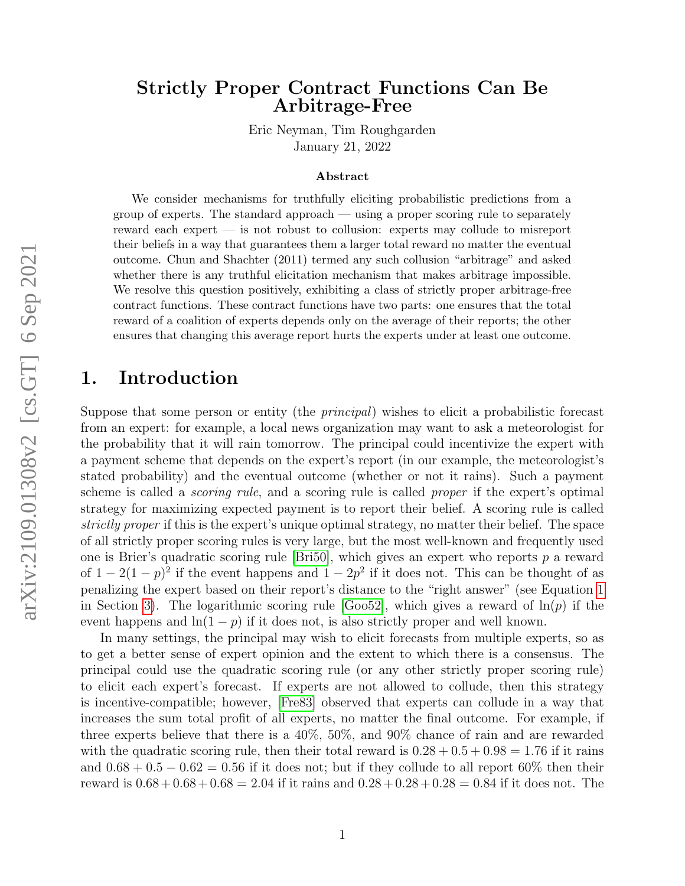# Strictly Proper Contract Functions Can Be Arbitrage-Free

Eric Neyman, Tim Roughgarden January 21, 2022

#### Abstract

We consider mechanisms for truthfully eliciting probabilistic predictions from a group of experts. The standard approach — using a proper scoring rule to separately reward each expert — is not robust to collusion: experts may collude to misreport their beliefs in a way that guarantees them a larger total reward no matter the eventual outcome. Chun and Shachter (2011) termed any such collusion "arbitrage" and asked whether there is any truthful elicitation mechanism that makes arbitrage impossible. We resolve this question positively, exhibiting a class of strictly proper arbitrage-free contract functions. These contract functions have two parts: one ensures that the total reward of a coalition of experts depends only on the average of their reports; the other ensures that changing this average report hurts the experts under at least one outcome.

## 1. Introduction

Suppose that some person or entity (the *principal*) wishes to elicit a probabilistic forecast from an expert: for example, a local news organization may want to ask a meteorologist for the probability that it will rain tomorrow. The principal could incentivize the expert with a payment scheme that depends on the expert's report (in our example, the meteorologist's stated probability) and the eventual outcome (whether or not it rains). Such a payment scheme is called a *scoring rule*, and a scoring rule is called *proper* if the expert's optimal strategy for maximizing expected payment is to report their belief. A scoring rule is called strictly proper if this is the expert's unique optimal strategy, no matter their belief. The space of all strictly proper scoring rules is very large, but the most well-known and frequently used one is Brier's quadratic scoring rule [\[Bri50\]](#page-7-0), which gives an expert who reports  $p$  a reward of  $1 - 2(1 - p)^2$  if the event happens and  $1 - 2p^2$  if it does not. This can be thought of as penalizing the expert based on their report's distance to the "right answer" (see Equation [1](#page-3-0) in Section [3\)](#page-2-0). The logarithmic scoring rule [\[Goo52\]](#page-8-0), which gives a reward of  $\ln(p)$  if the event happens and  $ln(1-p)$  if it does not, is also strictly proper and well known.

In many settings, the principal may wish to elicit forecasts from multiple experts, so as to get a better sense of expert opinion and the extent to which there is a consensus. The principal could use the quadratic scoring rule (or any other strictly proper scoring rule) to elicit each expert's forecast. If experts are not allowed to collude, then this strategy is incentive-compatible; however, [\[Fre83\]](#page-8-1) observed that experts can collude in a way that increases the sum total profit of all experts, no matter the final outcome. For example, if three experts believe that there is a 40%, 50%, and 90% chance of rain and are rewarded with the quadratic scoring rule, then their total reward is  $0.28 + 0.5 + 0.98 = 1.76$  if it rains and  $0.68 + 0.5 - 0.62 = 0.56$  if it does not; but if they collude to all report 60% then their reward is  $0.68 + 0.68 + 0.68 = 2.04$  if it rains and  $0.28 + 0.28 + 0.28 = 0.84$  if it does not. The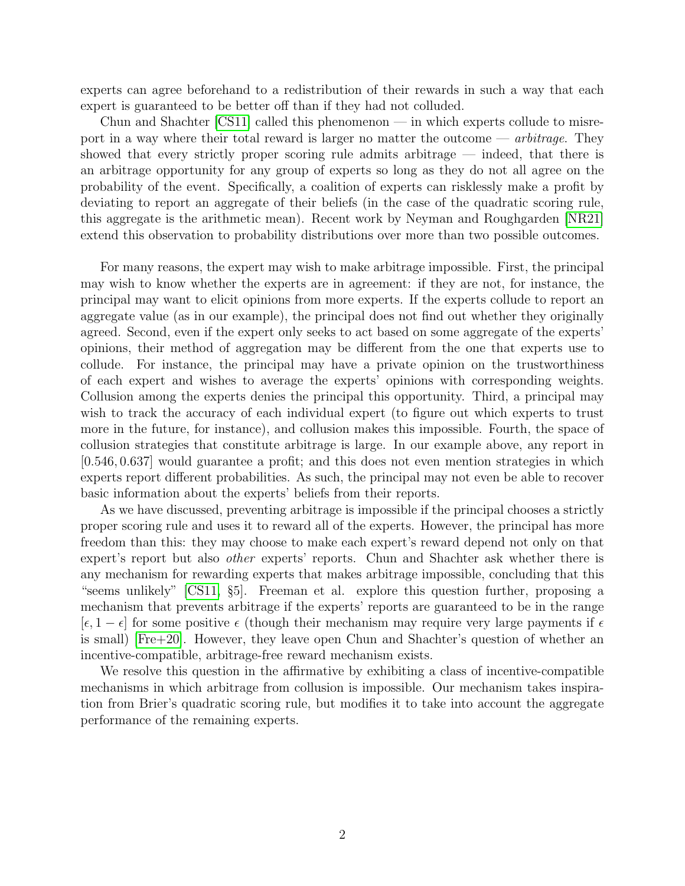experts can agree beforehand to a redistribution of their rewards in such a way that each expert is guaranteed to be better off than if they had not colluded.

Chun and Shachter [\[CS11\]](#page-8-2) called this phenomenon — in which experts collude to misreport in a way where their total reward is larger no matter the outcome  $-$  *arbitrage*. They showed that every strictly proper scoring rule admits arbitrage — indeed, that there is an arbitrage opportunity for any group of experts so long as they do not all agree on the probability of the event. Specifically, a coalition of experts can risklessly make a profit by deviating to report an aggregate of their beliefs (in the case of the quadratic scoring rule, this aggregate is the arithmetic mean). Recent work by Neyman and Roughgarden [\[NR21\]](#page-8-3) extend this observation to probability distributions over more than two possible outcomes.

For many reasons, the expert may wish to make arbitrage impossible. First, the principal may wish to know whether the experts are in agreement: if they are not, for instance, the principal may want to elicit opinions from more experts. If the experts collude to report an aggregate value (as in our example), the principal does not find out whether they originally agreed. Second, even if the expert only seeks to act based on some aggregate of the experts' opinions, their method of aggregation may be different from the one that experts use to collude. For instance, the principal may have a private opinion on the trustworthiness of each expert and wishes to average the experts' opinions with corresponding weights. Collusion among the experts denies the principal this opportunity. Third, a principal may wish to track the accuracy of each individual expert (to figure out which experts to trust more in the future, for instance), and collusion makes this impossible. Fourth, the space of collusion strategies that constitute arbitrage is large. In our example above, any report in [0.546, 0.637] would guarantee a profit; and this does not even mention strategies in which experts report different probabilities. As such, the principal may not even be able to recover basic information about the experts' beliefs from their reports.

As we have discussed, preventing arbitrage is impossible if the principal chooses a strictly proper scoring rule and uses it to reward all of the experts. However, the principal has more freedom than this: they may choose to make each expert's reward depend not only on that expert's report but also other experts' reports. Chun and Shachter ask whether there is any mechanism for rewarding experts that makes arbitrage impossible, concluding that this "seems unlikely" [\[CS11,](#page-8-2) §5]. Freeman et al. explore this question further, proposing a mechanism that prevents arbitrage if the experts' reports are guaranteed to be in the range  $[\epsilon, 1 - \epsilon]$  for some positive  $\epsilon$  (though their mechanism may require very large payments if  $\epsilon$ is small) [\[Fre+20\]](#page-8-4). However, they leave open Chun and Shachter's question of whether an incentive-compatible, arbitrage-free reward mechanism exists.

We resolve this question in the affirmative by exhibiting a class of incentive-compatible mechanisms in which arbitrage from collusion is impossible. Our mechanism takes inspiration from Brier's quadratic scoring rule, but modifies it to take into account the aggregate performance of the remaining experts.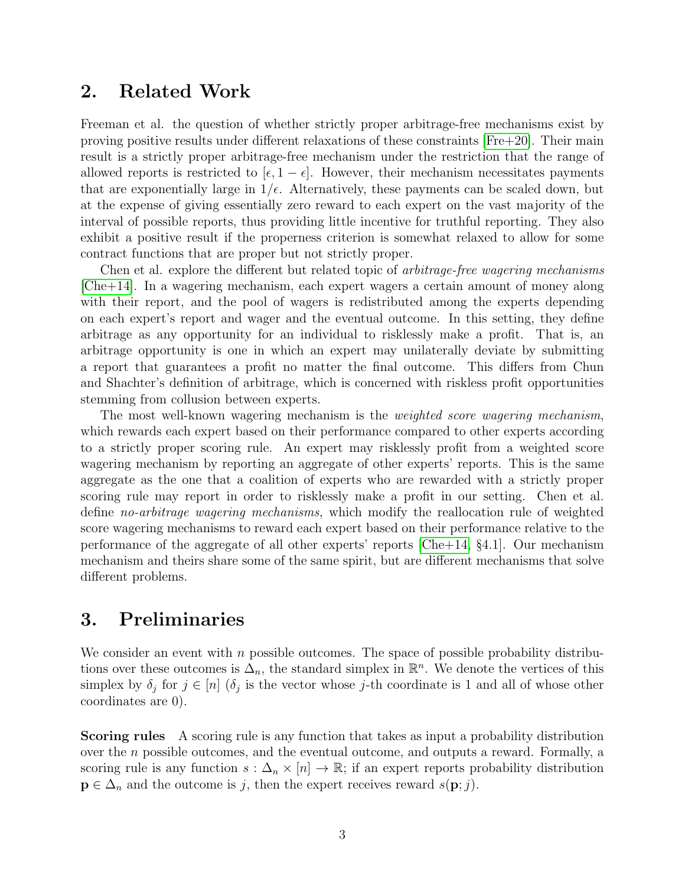#### 2. Related Work

Freeman et al. the question of whether strictly proper arbitrage-free mechanisms exist by proving positive results under different relaxations of these constraints [\[Fre+20\]](#page-8-4). Their main result is a strictly proper arbitrage-free mechanism under the restriction that the range of allowed reports is restricted to  $[\epsilon, 1 - \epsilon]$ . However, their mechanism necessitates payments that are exponentially large in  $1/\epsilon$ . Alternatively, these payments can be scaled down, but at the expense of giving essentially zero reward to each expert on the vast majority of the interval of possible reports, thus providing little incentive for truthful reporting. They also exhibit a positive result if the properness criterion is somewhat relaxed to allow for some contract functions that are proper but not strictly proper.

Chen et al. explore the different but related topic of arbitrage-free wagering mechanisms [\[Che+14\]](#page-7-1). In a wagering mechanism, each expert wagers a certain amount of money along with their report, and the pool of wagers is redistributed among the experts depending on each expert's report and wager and the eventual outcome. In this setting, they define arbitrage as any opportunity for an individual to risklessly make a profit. That is, an arbitrage opportunity is one in which an expert may unilaterally deviate by submitting a report that guarantees a profit no matter the final outcome. This differs from Chun and Shachter's definition of arbitrage, which is concerned with riskless profit opportunities stemming from collusion between experts.

The most well-known wagering mechanism is the *weighted score wagering mechanism*, which rewards each expert based on their performance compared to other experts according to a strictly proper scoring rule. An expert may risklessly profit from a weighted score wagering mechanism by reporting an aggregate of other experts' reports. This is the same aggregate as the one that a coalition of experts who are rewarded with a strictly proper scoring rule may report in order to risklessly make a profit in our setting. Chen et al. define no-arbitrage wagering mechanisms, which modify the reallocation rule of weighted score wagering mechanisms to reward each expert based on their performance relative to the performance of the aggregate of all other experts' reports [\[Che+14,](#page-7-1) §4.1]. Our mechanism mechanism and theirs share some of the same spirit, but are different mechanisms that solve different problems.

# <span id="page-2-0"></span>3. Preliminaries

We consider an event with  $n$  possible outcomes. The space of possible probability distributions over these outcomes is  $\Delta_n$ , the standard simplex in  $\mathbb{R}^n$ . We denote the vertices of this simplex by  $\delta_j$  for  $j \in [n]$  ( $\delta_j$  is the vector whose j-th coordinate is 1 and all of whose other coordinates are 0).

Scoring rules A scoring rule is any function that takes as input a probability distribution over the n possible outcomes, and the eventual outcome, and outputs a reward. Formally, a scoring rule is any function  $s : \Delta_n \times [n] \to \mathbb{R}$ ; if an expert reports probability distribution  $\mathbf{p} \in \Delta_n$  and the outcome is j, then the expert receives reward  $s(\mathbf{p};j)$ .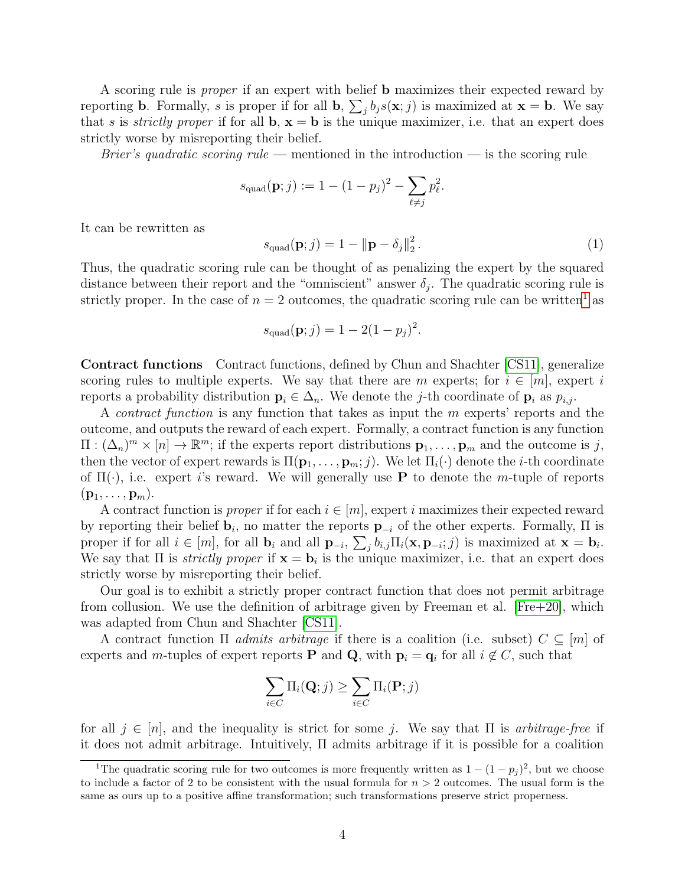A scoring rule is proper if an expert with belief b maximizes their expected reward by reporting **b**. Formally, s is proper if for all **b**,  $\sum_j b_j s(\mathbf{x}; j)$  is maximized at  $\mathbf{x} = \mathbf{b}$ . We say that s is strictly proper if for all  $\mathbf{b}, \mathbf{x} = \mathbf{b}$  is the unique maximizer, i.e. that an expert does strictly worse by misreporting their belief.

*Brier's quadratic scoring rule* — mentioned in the introduction — is the scoring rule

$$
s_{\text{quad}}(\mathbf{p};j) := 1 - (1 - p_j)^2 - \sum_{\ell \neq j} p_\ell^2.
$$

It can be rewritten as

<span id="page-3-0"></span>
$$
s_{\text{quad}}(\mathbf{p};j) = 1 - \|\mathbf{p} - \delta_j\|_2^2. \tag{1}
$$

Thus, the quadratic scoring rule can be thought of as penalizing the expert by the squared distance between their report and the "omniscient" answer  $\delta_j$ . The quadratic scoring rule is strictly proper. In the case of  $n = 2$  outcomes, the quadratic scoring rule can be written<sup>[1](#page-3-1)</sup> as

$$
s_{\text{quad}}(\mathbf{p};j) = 1 - 2(1 - p_j)^2.
$$

Contract functions Contract functions, defined by Chun and Shachter [\[CS11\]](#page-8-2), generalize scoring rules to multiple experts. We say that there are m experts; for  $i \in [m]$ , expert i reports a probability distribution  $\mathbf{p}_i \in \Delta_n$ . We denote the j-th coordinate of  $\mathbf{p}_i$  as  $p_{i,j}$ .

A *contract function* is any function that takes as input the  $m$  experts' reports and the outcome, and outputs the reward of each expert. Formally, a contract function is any function  $\Pi: (\Delta_n)^m \times [n] \to \mathbb{R}^m$ ; if the experts report distributions  $\mathbf{p}_1, \ldots, \mathbf{p}_m$  and the outcome is j, then the vector of expert rewards is  $\Pi(\mathbf{p}_1, \ldots, \mathbf{p}_m; j)$ . We let  $\Pi_i(\cdot)$  denote the *i*-th coordinate of  $\Pi(\cdot)$ , i.e. expert i's reward. We will generally use **P** to denote the m-tuple of reports  $({\bf p}_1,\ldots,{\bf p}_m).$ 

A contract function is *proper* if for each  $i \in [m]$ , expert i maximizes their expected reward by reporting their belief  $\mathbf{b}_i$ , no matter the reports  $\mathbf{p}_{-i}$  of the other experts. Formally,  $\Pi$  is proper if for all  $i \in [m]$ , for all  $\mathbf{b}_i$  and all  $\mathbf{p}_{-i}$ ,  $\sum_j b_{i,j} \Pi_i(\mathbf{x}, \mathbf{p}_{-i}; j)$  is maximized at  $\mathbf{x} = \mathbf{b}_i$ . We say that  $\Pi$  is *strictly proper* if  $\mathbf{x} = \mathbf{b}_i$  is the unique maximizer, i.e. that an expert does strictly worse by misreporting their belief.

Our goal is to exhibit a strictly proper contract function that does not permit arbitrage from collusion. We use the definition of arbitrage given by Freeman et al.  $[Fre+20]$ , which was adapted from Chun and Shachter [\[CS11\]](#page-8-2).

A contract function  $\Pi$  *admits arbitrage* if there is a coalition (i.e. subset)  $C \subseteq [m]$  of experts and m-tuples of expert reports **P** and **Q**, with  $\mathbf{p}_i = \mathbf{q}_i$  for all  $i \notin C$ , such that

$$
\sum_{i \in C} \Pi_i(\mathbf{Q}; j) \ge \sum_{i \in C} \Pi_i(\mathbf{P}; j)
$$

for all  $j \in [n]$ , and the inequality is strict for some j. We say that  $\Pi$  is *arbitrage-free* if it does not admit arbitrage. Intuitively, Π admits arbitrage if it is possible for a coalition

<span id="page-3-1"></span><sup>&</sup>lt;sup>1</sup>The quadratic scoring rule for two outcomes is more frequently written as  $1 - (1 - p_j)^2$ , but we choose to include a factor of 2 to be consistent with the usual formula for  $n > 2$  outcomes. The usual form is the same as ours up to a positive affine transformation; such transformations preserve strict properness.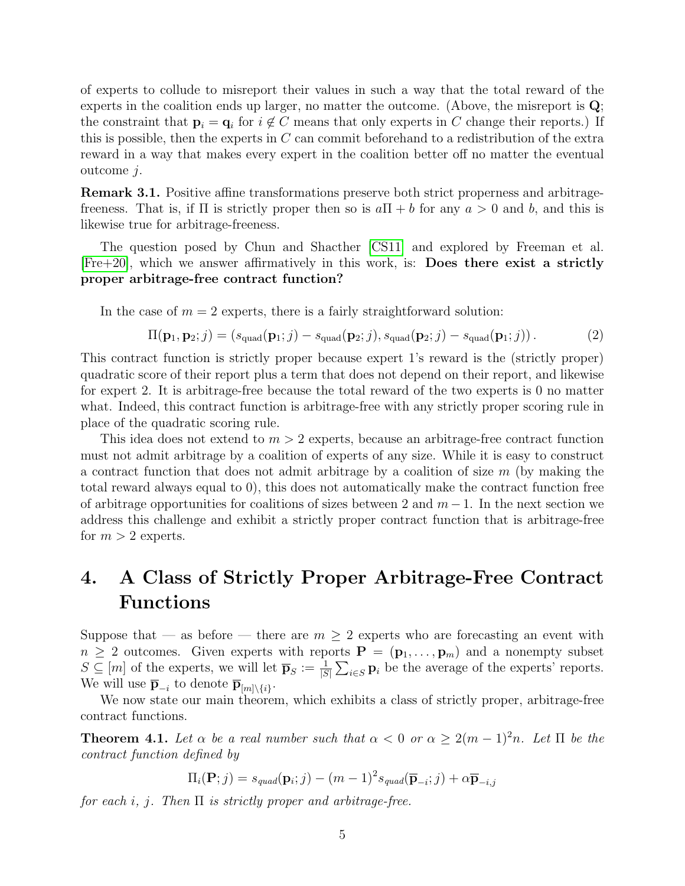of experts to collude to misreport their values in such a way that the total reward of the experts in the coalition ends up larger, no matter the outcome. (Above, the misreport is Q; the constraint that  $\mathbf{p}_i = \mathbf{q}_i$  for  $i \notin C$  means that only experts in C change their reports.) If this is possible, then the experts in  $C$  can commit beforehand to a redistribution of the extra reward in a way that makes every expert in the coalition better off no matter the eventual outcome j.

Remark 3.1. Positive affine transformations preserve both strict properness and arbitragefreeness. That is, if  $\Pi$  is strictly proper then so is  $a\Pi + b$  for any  $a > 0$  and b, and this is likewise true for arbitrage-freeness.

The question posed by Chun and Shacther [\[CS11\]](#page-8-2) and explored by Freeman et al. [\[Fre+20\]](#page-8-4), which we answer affirmatively in this work, is: Does there exist a strictly proper arbitrage-free contract function?

In the case of  $m = 2$  experts, there is a fairly straightforward solution:

<span id="page-4-0"></span>
$$
\Pi(\mathbf{p}_1, \mathbf{p}_2; j) = (s_{\text{quad}}(\mathbf{p}_1; j) - s_{\text{quad}}(\mathbf{p}_2; j), s_{\text{quad}}(\mathbf{p}_2; j) - s_{\text{quad}}(\mathbf{p}_1; j)).
$$
\n(2)

This contract function is strictly proper because expert 1's reward is the (strictly proper) quadratic score of their report plus a term that does not depend on their report, and likewise for expert 2. It is arbitrage-free because the total reward of the two experts is 0 no matter what. Indeed, this contract function is arbitrage-free with any strictly proper scoring rule in place of the quadratic scoring rule.

This idea does not extend to  $m > 2$  experts, because an arbitrage-free contract function must not admit arbitrage by a coalition of experts of any size. While it is easy to construct a contract function that does not admit arbitrage by a coalition of size  $m$  (by making the total reward always equal to 0), this does not automatically make the contract function free of arbitrage opportunities for coalitions of sizes between 2 and  $m-1$ . In the next section we address this challenge and exhibit a strictly proper contract function that is arbitrage-free for  $m > 2$  experts.

# <span id="page-4-2"></span>4. A Class of Strictly Proper Arbitrage-Free Contract Functions

Suppose that — as before — there are  $m \geq 2$  experts who are forecasting an event with  $n \geq 2$  outcomes. Given experts with reports  $\mathbf{P} = (\mathbf{p}_1, \ldots, \mathbf{p}_m)$  and a nonempty subset  $S \subseteq [m]$  of the experts, we will let  $\bar{\mathbf{p}}_S := \frac{1}{|S|} \sum_{i \in S} \mathbf{p}_i$  be the average of the experts' reports. We will use  $\overline{\mathbf{p}}_{-i}$  to denote  $\overline{\mathbf{p}}_{[m]\setminus\{i\}}$ .

We now state our main theorem, which exhibits a class of strictly proper, arbitrage-free contract functions.

<span id="page-4-1"></span>**Theorem 4.1.** Let  $\alpha$  be a real number such that  $\alpha < 0$  or  $\alpha \geq 2(m-1)^2n$ . Let  $\Pi$  be the contract function defined by

$$
\Pi_i(\mathbf{P};j) = s_{quad}(\mathbf{p}_i; j) - (m-1)^2 s_{quad}(\overline{\mathbf{p}}_{-i}; j) + \alpha \overline{\mathbf{p}}_{-i,j}
$$

for each i, j. Then  $\Pi$  is strictly proper and arbitrage-free.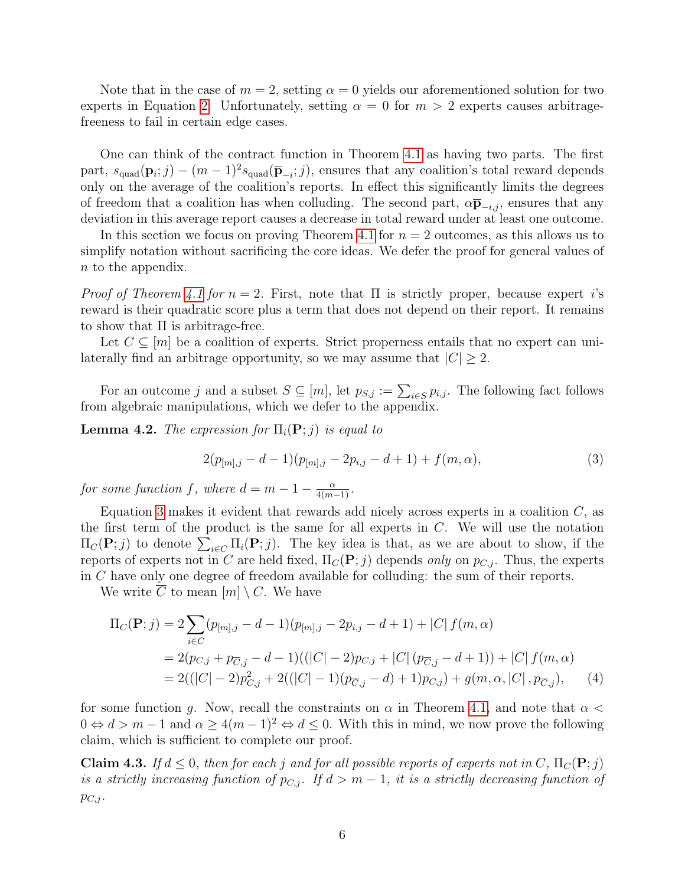Note that in the case of  $m = 2$ , setting  $\alpha = 0$  yields our aforementioned solution for two experts in Equation [2.](#page-4-0) Unfortunately, setting  $\alpha = 0$  for  $m > 2$  experts causes arbitragefreeness to fail in certain edge cases.

One can think of the contract function in Theorem [4.1](#page-4-1) as having two parts. The first part,  $s_{\text{quad}}(\mathbf{p}_i; j) - (m-1)^2 s_{\text{quad}}(\overline{\mathbf{p}}_{-i}; j)$ , ensures that any coalition's total reward depends only on the average of the coalition's reports. In effect this significantly limits the degrees of freedom that a coalition has when colluding. The second part,  $\alpha \bar{p}_{-i,j}$ , ensures that any deviation in this average report causes a decrease in total reward under at least one outcome.

In this section we focus on proving Theorem [4.1](#page-4-1) for  $n = 2$  outcomes, as this allows us to simplify notation without sacrificing the core ideas. We defer the proof for general values of n to the appendix.

*Proof of Theorem [4.1](#page-4-1) for n* = 2. First, note that  $\Pi$  is strictly proper, because expert *i*'s reward is their quadratic score plus a term that does not depend on their report. It remains to show that  $\Pi$  is arbitrage-free.

Let  $C \subseteq [m]$  be a coalition of experts. Strict properness entails that no expert can unilaterally find an arbitrage opportunity, so we may assume that  $|C| \geq 2$ .

For an outcome j and a subset  $S \subseteq [m]$ , let  $p_{S,j} := \sum_{i \in S} p_{i,j}$ . The following fact follows from algebraic manipulations, which we defer to the appendix.

<span id="page-5-3"></span>**Lemma 4.2.** The expression for  $\Pi_i(\mathbf{P};j)$  is equal to

<span id="page-5-1"></span><span id="page-5-0"></span>
$$
2(p_{[m],j} - d - 1)(p_{[m],j} - 2p_{i,j} - d + 1) + f(m, \alpha),
$$
\n(3)

for some function f, where  $d = m - 1 - \frac{\alpha}{4(m-1)}$ .

Equation [3](#page-5-0) makes it evident that rewards add nicely across experts in a coalition  $C$ , as the first term of the product is the same for all experts in  $C$ . We will use the notation  $\Pi_C(\mathbf{P};j)$  to denote  $\sum_{i\in C} \Pi_i(\mathbf{P};j)$ . The key idea is that, as we are about to show, if the reports of experts not in C are held fixed,  $\Pi_C(\mathbf{P};j)$  depends only on  $p_{C,j}$ . Thus, the experts in C have only one degree of freedom available for colluding: the sum of their reports.

We write  $\overline{C}$  to mean  $[m] \setminus C$ . We have

$$
\Pi_C(\mathbf{P};j) = 2 \sum_{i \in C} (p_{[m],j} - d - 1)(p_{[m],j} - 2p_{i,j} - d + 1) + |C| f(m, \alpha)
$$
  
= 2(p\_{C,j} + p\_{\overline{C},j} - d - 1)((|C| - 2)p\_{C,j} + |C| (p\_{\overline{C},j} - d + 1)) + |C| f(m, \alpha)  
= 2((|C| - 2)p\_{C,j}^2 + 2((|C| - 1)(p\_{\overline{C},j} - d) + 1)p\_{C,j}) + g(m, \alpha, |C|, p\_{\overline{C},j}), (4)

for some function g. Now, recall the constraints on  $\alpha$  in Theorem [4.1,](#page-4-1) and note that  $\alpha$  $0 \Leftrightarrow d > m - 1$  and  $\alpha \ge 4(m - 1)^2 \Leftrightarrow d \le 0$ . With this in mind, we now prove the following claim, which is sufficient to complete our proof.

<span id="page-5-2"></span>**Claim 4.3.** If  $d \leq 0$ , then for each j and for all possible reports of experts not in C,  $\Pi_C(\mathbf{P};j)$ is a strictly increasing function of  $p_{C,j}$ . If  $d > m-1$ , it is a strictly decreasing function of  $p_{C,j}$ .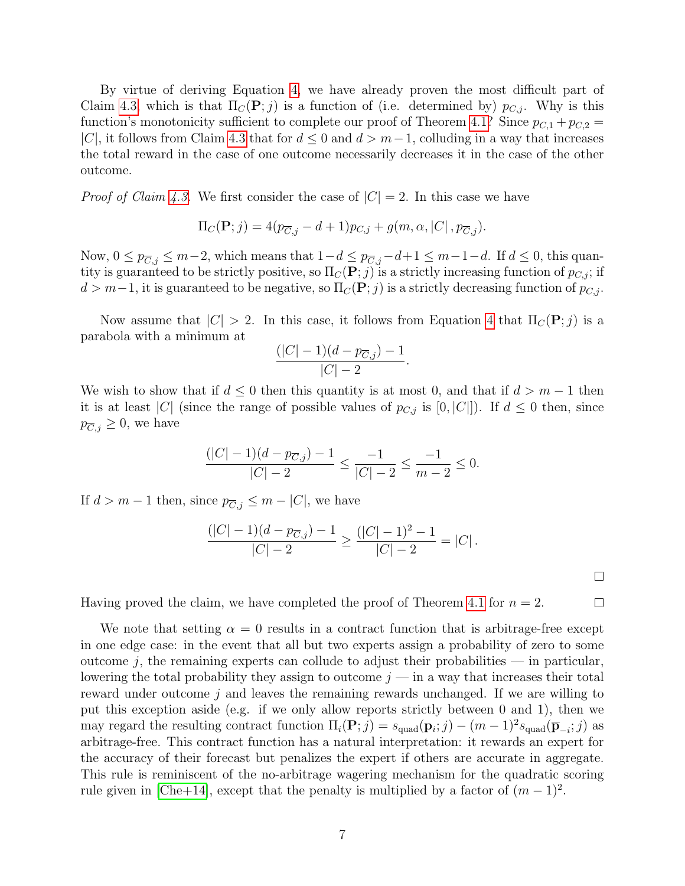By virtue of deriving Equation [4,](#page-5-1) we have already proven the most difficult part of Claim [4.3,](#page-5-2) which is that  $\Pi_C(P;j)$  is a function of (i.e. determined by)  $p_{C,j}$ . Why is this function's monotonicity sufficient to complete our proof of Theorem [4.1?](#page-4-1) Since  $p_{C,1} + p_{C,2} =$ |C|, it follows from Claim [4.3](#page-5-2) that for  $d \leq 0$  and  $d > m-1$ , colluding in a way that increases the total reward in the case of one outcome necessarily decreases it in the case of the other outcome.

*Proof of Claim [4.3.](#page-5-2)* We first consider the case of  $|C| = 2$ . In this case we have

$$
\Pi_C(\mathbf{P};j) = 4(p_{\overline{C},j} - d + 1)p_{C,j} + g(m,\alpha,|C|,p_{\overline{C},j}).
$$

Now,  $0 \le p_{\overline{C},j} \le m-2$ , which means that  $1-d \le p_{\overline{C},j}-d+1 \le m-1-d$ . If  $d \le 0$ , this quantity is guaranteed to be strictly positive, so  $\Pi_c(\mathbf{P};j)$  is a strictly increasing function of  $p_{C,j}$ ; if  $d > m-1$ , it is guaranteed to be negative, so  $\Pi_c(\mathbf{P};j)$  is a strictly decreasing function of  $p_{C,j}$ .

Now assume that  $|C| > 2$ . In this case, it follows from Equation [4](#page-5-1) that  $\Pi_C(\mathbf{P};j)$  is a parabola with a minimum at

$$
\frac{(|C|-1)(d-p_{\overline{C},j})-1}{|C|-2}.
$$

We wish to show that if  $d \leq 0$  then this quantity is at most 0, and that if  $d > m - 1$  then it is at least |C| (since the range of possible values of  $p_{C,j}$  is [0, |C|]). If  $d \leq 0$  then, since  $p_{\overline{C},j} \geq 0$ , we have

$$
\frac{(|C|-1)(d-p_{\overline{C},j})-1}{|C|-2} \le \frac{-1}{|C|-2} \le \frac{-1}{m-2} \le 0.
$$

If  $d > m - 1$  then, since  $p_{\overline{C},j} \leq m - |C|$ , we have

$$
\frac{(|C|-1)(d-p_{\overline{C},j})-1}{|C|-2} \ge \frac{(|C|-1)^2-1}{|C|-2} = |C|.
$$

 $\Box$ 

 $\Box$ 

Having proved the claim, we have completed the proof of Theorem [4.1](#page-4-1) for  $n = 2$ .

We note that setting  $\alpha = 0$  results in a contract function that is arbitrage-free except in one edge case: in the event that all but two experts assign a probability of zero to some outcome  $j$ , the remaining experts can collude to adjust their probabilities — in particular, lowering the total probability they assign to outcome  $j$  — in a way that increases their total reward under outcome j and leaves the remaining rewards unchanged. If we are willing to put this exception aside (e.g. if we only allow reports strictly between 0 and 1), then we may regard the resulting contract function  $\Pi_i(\mathbf{P};j) = s_{\text{quad}}(\mathbf{p}_i;j) - (m-1)^2 s_{\text{quad}}(\overline{\mathbf{p}}_{-i};j)$  as arbitrage-free. This contract function has a natural interpretation: it rewards an expert for the accuracy of their forecast but penalizes the expert if others are accurate in aggregate. This rule is reminiscent of the no-arbitrage wagering mechanism for the quadratic scoring rule given in [\[Che+14\]](#page-7-1), except that the penalty is multiplied by a factor of  $(m-1)^2$ .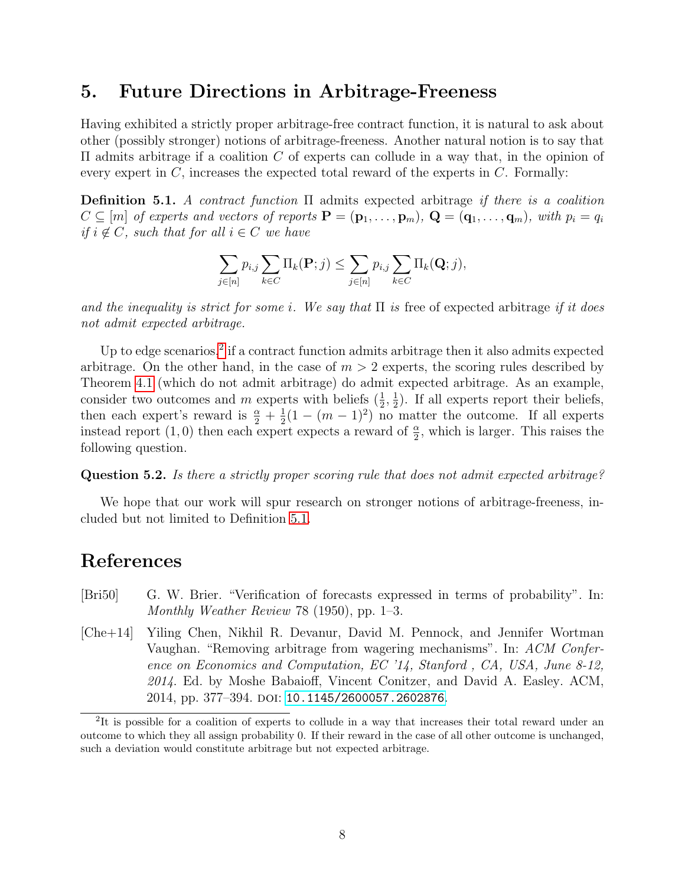#### 5. Future Directions in Arbitrage-Freeness

Having exhibited a strictly proper arbitrage-free contract function, it is natural to ask about other (possibly stronger) notions of arbitrage-freeness. Another natural notion is to say that  $\Pi$  admits arbitrage if a coalition C of experts can collude in a way that, in the opinion of every expert in  $C$ , increases the expected total reward of the experts in  $C$ . Formally:

<span id="page-7-3"></span>Definition 5.1. A contract function Π admits expected arbitrage if there is a coalition  $C \subseteq [m]$  of experts and vectors of reports  $\mathbf{P} = (\mathbf{p}_1, \ldots, \mathbf{p}_m)$ ,  $\mathbf{Q} = (\mathbf{q}_1, \ldots, \mathbf{q}_m)$ , with  $p_i = q_i$ if  $i \notin C$ , such that for all  $i \in C$  we have

$$
\sum_{j\in[n]} p_{i,j} \sum_{k\in C} \Pi_k(\mathbf{P};j) \le \sum_{j\in[n]} p_{i,j} \sum_{k\in C} \Pi_k(\mathbf{Q};j),
$$

and the inequality is strict for some i. We say that  $\Pi$  is free of expected arbitrage if it does not admit expected arbitrage.

Up to edge scenarios,<sup>[2](#page-7-2)</sup> if a contract function admits arbitrage then it also admits expected arbitrage. On the other hand, in the case of  $m > 2$  experts, the scoring rules described by Theorem [4.1](#page-4-1) (which do not admit arbitrage) do admit expected arbitrage. As an example, consider two outcomes and m experts with beliefs  $(\frac{1}{2}, \frac{1}{2})$  $\frac{1}{2}$ ). If all experts report their beliefs, then each expert's reward is  $\frac{\alpha}{2} + \frac{1}{2}$  $\frac{1}{2}(1-(m-1)^2)$  no matter the outcome. If all experts instead report (1,0) then each expect expects a reward of  $\frac{\alpha}{2}$ , which is larger. This raises the following question.

Question 5.2. Is there a strictly proper scoring rule that does not admit expected arbitrage?

We hope that our work will spur research on stronger notions of arbitrage-freeness, included but not limited to Definition [5.1.](#page-7-3)

## References

- <span id="page-7-0"></span>[Bri50] G. W. Brier. "Verification of forecasts expressed in terms of probability". In: Monthly Weather Review 78 (1950), pp. 1–3.
- <span id="page-7-1"></span>[Che+14] Yiling Chen, Nikhil R. Devanur, David M. Pennock, and Jennifer Wortman Vaughan. "Removing arbitrage from wagering mechanisms". In: ACM Conference on Economics and Computation, EC '14, Stanford , CA, USA, June 8-12, 2014. Ed. by Moshe Babaioff, Vincent Conitzer, and David A. Easley. ACM, 2014, pp. 377-394. poi: [10.1145/2600057.2602876](https://doi.org/10.1145/2600057.2602876).

<span id="page-7-2"></span><sup>&</sup>lt;sup>2</sup>It is possible for a coalition of experts to collude in a way that increases their total reward under an outcome to which they all assign probability 0. If their reward in the case of all other outcome is unchanged, such a deviation would constitute arbitrage but not expected arbitrage.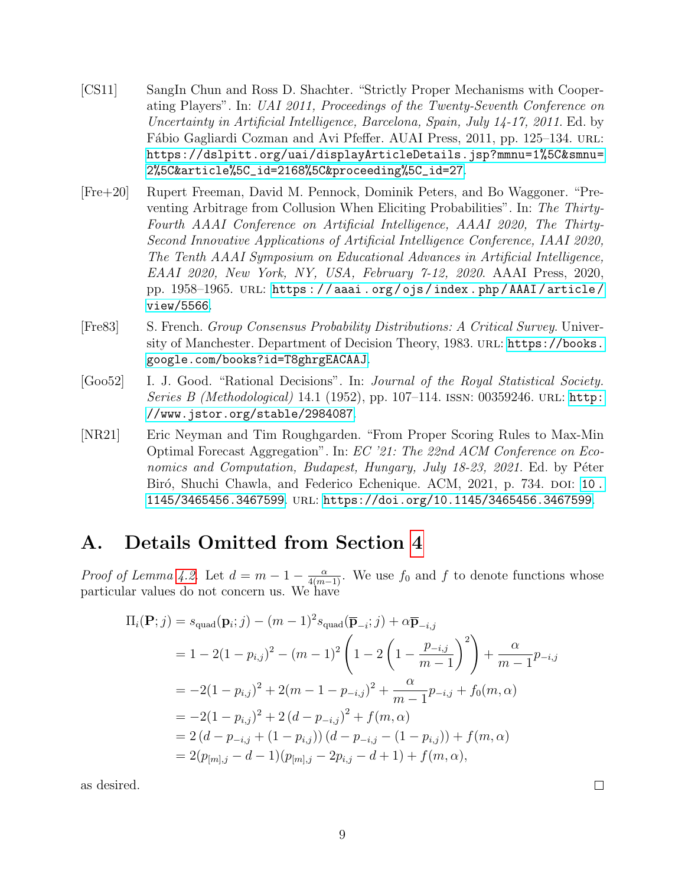- <span id="page-8-2"></span>[CS11] SangIn Chun and Ross D. Shachter. "Strictly Proper Mechanisms with Cooperating Players". In: UAI 2011, Proceedings of the Twenty-Seventh Conference on Uncertainty in Artificial Intelligence, Barcelona, Spain, July 14-17, 2011. Ed. by Fábio Gagliardi Cozman and Avi Pfeffer. AUAI Press, 2011, pp. 125–134. url.: [https://dslpitt.org/uai/displayArticleDetails.jsp?mmnu=1%5C&smnu=](https://dslpitt.org/uai/displayArticleDetails.jsp?mmnu=1%5C&smnu=2%5C&article%5C_id=2168%5C&proceeding%5C_id=27) [2%5C&article%5C\\_id=2168%5C&proceeding%5C\\_id=27](https://dslpitt.org/uai/displayArticleDetails.jsp?mmnu=1%5C&smnu=2%5C&article%5C_id=2168%5C&proceeding%5C_id=27).
- <span id="page-8-4"></span>[Fre+20] Rupert Freeman, David M. Pennock, Dominik Peters, and Bo Waggoner. "Preventing Arbitrage from Collusion When Eliciting Probabilities". In: The Thirty-Fourth AAAI Conference on Artificial Intelligence, AAAI 2020, The Thirty-Second Innovative Applications of Artificial Intelligence Conference, IAAI 2020, The Tenth AAAI Symposium on Educational Advances in Artificial Intelligence, EAAI 2020, New York, NY, USA, February 7-12, 2020. AAAI Press, 2020, pp. 1958–1965. url: [https : / / aaai . org / ojs / index . php / AAAI / article /](https://aaai.org/ojs/index.php/AAAI/article/view/5566) [view/5566](https://aaai.org/ojs/index.php/AAAI/article/view/5566).
- <span id="page-8-1"></span>[Fre83] S. French. Group Consensus Probability Distributions: A Critical Survey. University of Manchester. Department of Decision Theory, 1983. URL: [https://books.](https://books.google.com/books?id=T8ghrgEACAAJ) [google.com/books?id=T8ghrgEACAAJ](https://books.google.com/books?id=T8ghrgEACAAJ).
- <span id="page-8-0"></span>[Goo52] I. J. Good. "Rational Decisions". In: Journal of the Royal Statistical Society. *Series B (Methodological)* 14.1 (1952), pp. 107–114. ISSN: 00359246. URL: [http:](http://www.jstor.org/stable/2984087) [//www.jstor.org/stable/2984087](http://www.jstor.org/stable/2984087).
- <span id="page-8-3"></span>[NR21] Eric Neyman and Tim Roughgarden. "From Proper Scoring Rules to Max-Min Optimal Forecast Aggregation". In: EC '21: The 22nd ACM Conference on Economics and Computation, Budapest, Hungary, July  $18-23$ , 2021. Ed. by Péter Biró, Shuchi Chawla, and Federico Echenique. ACM, 2021, p. 734. doi: 10. [1145/3465456.3467599](https://doi.org/10.1145/3465456.3467599). url: <https://doi.org/10.1145/3465456.3467599>.

# A. Details Omitted from Section [4](#page-4-2)

*Proof of Lemma [4.2.](#page-5-3)* Let  $d = m - 1 - \frac{\alpha}{4(m-1)}$ . We use  $f_0$  and f to denote functions whose particular values do not concern us. We have

$$
\Pi_i(\mathbf{P};j) = s_{\text{quad}}(\mathbf{p}_i; j) - (m-1)^2 s_{\text{quad}}(\overline{\mathbf{p}}_{-i}; j) + \alpha \overline{\mathbf{p}}_{-i,j}
$$
\n
$$
= 1 - 2(1 - p_{i,j})^2 - (m-1)^2 \left(1 - 2\left(1 - \frac{p_{-i,j}}{m-1}\right)^2\right) + \frac{\alpha}{m-1} p_{-i,j}
$$
\n
$$
= -2(1 - p_{i,j})^2 + 2(m - 1 - p_{-i,j})^2 + \frac{\alpha}{m-1} p_{-i,j} + f_0(m, \alpha)
$$
\n
$$
= -2(1 - p_{i,j})^2 + 2(d - p_{-i,j})^2 + f(m, \alpha)
$$
\n
$$
= 2(d - p_{-i,j} + (1 - p_{i,j})) (d - p_{-i,j} - (1 - p_{i,j})) + f(m, \alpha)
$$
\n
$$
= 2(p_{[m],j} - d - 1)(p_{[m],j} - 2p_{i,j} - d + 1) + f(m, \alpha),
$$

as desired.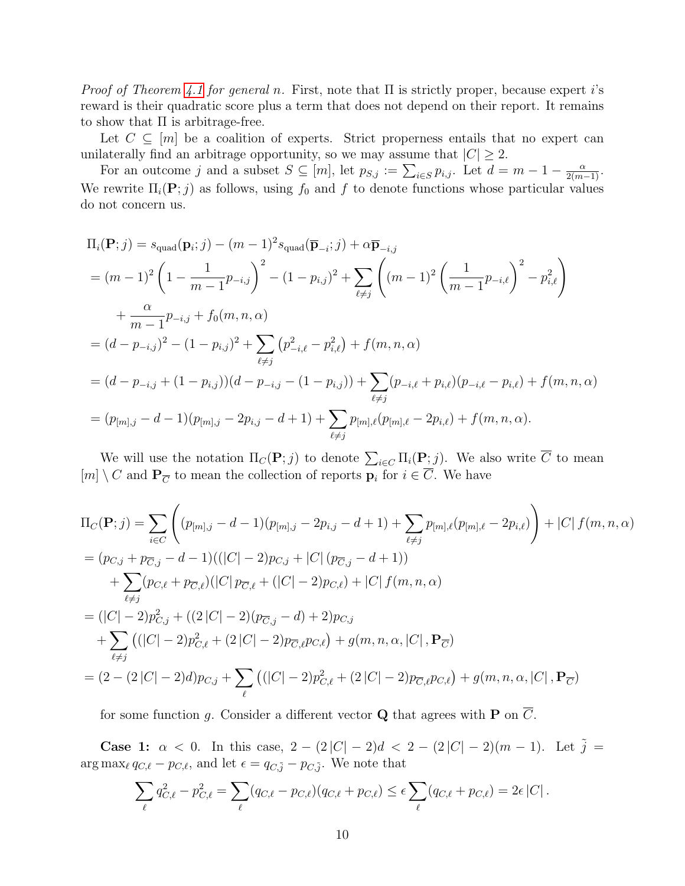*Proof of Theorem [4.1](#page-4-1) for general n.* First, note that  $\Pi$  is strictly proper, because expert i's reward is their quadratic score plus a term that does not depend on their report. It remains to show that  $\Pi$  is arbitrage-free.

Let  $C \subseteq [m]$  be a coalition of experts. Strict properness entails that no expert can unilaterally find an arbitrage opportunity, so we may assume that  $|C| \geq 2$ .

For an outcome j and a subset  $S \subseteq [m]$ , let  $p_{S,j} := \sum_{i \in S} p_{i,j}$ . Let  $d = m - 1 - \frac{\alpha}{2(m-1)}$ . We rewrite  $\Pi_i(\mathbf{P};j)$  as follows, using  $f_0$  and f to denote functions whose particular values do not concern us.

$$
\Pi_{i}(\mathbf{P};j) = s_{\text{quad}}(\mathbf{p}_{i};j) - (m-1)^{2} s_{\text{quad}}(\overline{\mathbf{p}}_{-i};j) + \alpha \overline{\mathbf{p}}_{-i,j}
$$
\n
$$
= (m-1)^{2} \left(1 - \frac{1}{m-1} p_{-i,j}\right)^{2} - (1 - p_{i,j})^{2} + \sum_{\ell \neq j} \left((m-1)^{2} \left(\frac{1}{m-1} p_{-i,\ell}\right)^{2} - p_{i,\ell}^{2}\right)
$$
\n
$$
+ \frac{\alpha}{m-1} p_{-i,j} + f_{0}(m, n, \alpha)
$$
\n
$$
= (d - p_{-i,j})^{2} - (1 - p_{i,j})^{2} + \sum_{\ell \neq j} (p_{-i,\ell}^{2} - p_{i,\ell}^{2}) + f(m, n, \alpha)
$$
\n
$$
= (d - p_{-i,j} + (1 - p_{i,j}))(d - p_{-i,j} - (1 - p_{i,j})) + \sum_{\ell \neq j} (p_{-i,\ell} + p_{i,\ell})(p_{-i,\ell} - p_{i,\ell}) + f(m, n, \alpha)
$$
\n
$$
= (p_{[m],j} - d - 1)(p_{[m],j} - 2p_{i,j} - d + 1) + \sum_{\ell \neq j} p_{[m],\ell}(p_{[m],\ell} - 2p_{i,\ell}) + f(m, n, \alpha).
$$

We will use the notation  $\Pi_C(\mathbf{P};j)$  to denote  $\sum_{i\in C} \Pi_i(\mathbf{P};j)$ . We also write  $\overline{C}$  to mean  $[m] \setminus C$  and  $\mathbf{P}_{\overline{C}}$  to mean the collection of reports  $\mathbf{p}_i$  for  $i \in \overline{C}$ . We have

$$
\Pi_C(\mathbf{P};j) = \sum_{i \in C} \left( (p_{[m],j} - d - 1)(p_{[m],j} - 2p_{i,j} - d + 1) + \sum_{\ell \neq j} p_{[m],\ell}(p_{[m],\ell} - 2p_{i,\ell}) \right) + |C| f(m,n,\alpha)
$$
  
\n
$$
= (p_{C,j} + p_{\overline{C},j} - d - 1)((|C| - 2)p_{C,j} + |C| (p_{\overline{C},j} - d + 1))
$$
  
\n
$$
+ \sum_{\ell \neq j} (p_{C,\ell} + p_{\overline{C},\ell})(|C| p_{\overline{C},\ell} + (|C| - 2)p_{C,\ell}) + |C| f(m,n,\alpha)
$$
  
\n
$$
= (|C| - 2)p_{C,j}^2 + ((2|C| - 2)(p_{\overline{C},j} - d) + 2)p_{C,j}
$$
  
\n
$$
+ \sum_{\ell \neq j} ((|C| - 2)p_{C,\ell}^2 + (2|C| - 2)p_{\overline{C},\ell}p_{C,\ell}) + g(m,n,\alpha,|C|, \mathbf{P}_{\overline{C}})
$$
  
\n
$$
= (2 - (2|C| - 2)d)p_{C,j} + \sum_{\ell} ((|C| - 2)p_{C,\ell}^2 + (2|C| - 2)p_{\overline{C},\ell}p_{C,\ell}) + g(m,n,\alpha,|C|, \mathbf{P}_{\overline{C}})
$$

for some function g. Consider a different vector **Q** that agrees with **P** on  $\overline{C}$ .

**Case 1:**  $\alpha$  < 0. In this case,  $2 - (2|C| - 2)d < 2 - (2|C| - 2)(m - 1)$ . Let  $\tilde{j} =$  $\arg \max_{\ell} q_{C,\ell} - p_{C,\ell}$ , and let  $\epsilon = q_{C,\tilde{j}} - p_{C,\tilde{j}}$ . We note that

$$
\sum_{\ell} q_{C,\ell}^2 - p_{C,\ell}^2 = \sum_{\ell} (q_{C,\ell} - p_{C,\ell})(q_{C,\ell} + p_{C,\ell}) \le \epsilon \sum_{\ell} (q_{C,\ell} + p_{C,\ell}) = 2\epsilon |C|.
$$